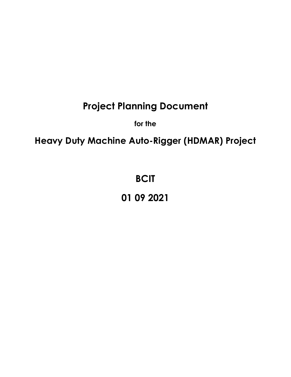# **Project Planning Document**

**for the** 

# <span id="page-0-0"></span>**Heavy Duty Machine Auto-Rigger (HDMAR) Project**

# **BCIT**

**01 09 2021**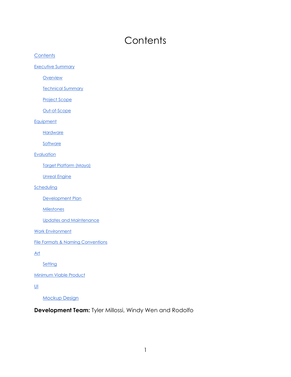# **Contents**

**[Contents](#page-0-0)** 

**[Executive Summary](#page-2-0)** 

**[Overview](#page-2-1)** 

**[Technical Summary](#page-2-2)** 

[Project Scope](#page-5-0)

[Out-of-Scope](#page-5-1)

**[Equipment](#page-6-0)** 

**[Hardware](#page-6-1)** 

**[Software](#page-7-0)** 

**[Evaluation](#page-8-0)** 

[Target Platform \(Maya\)](#page-8-1)

[Unreal Engine](#page-8-2)

**[Scheduling](#page-8-3)** 

[Development Plan](#page-8-4)

**[Milestones](#page-9-0)** 

[Updates and Maintenance](#page-11-0)

[Work Environment](#page-12-0)

[File Formats & Naming Conventions](#page-12-1)

[Art](#page-13-0)

**[Setting](#page-13-1)** 

**[Minimum Viable Product](#page-14-0)** 

 $U$ </u>

[Mockup Design](#page-14-2)

**Development Team:** Tyler Millossi, Windy Wen and Rodolfo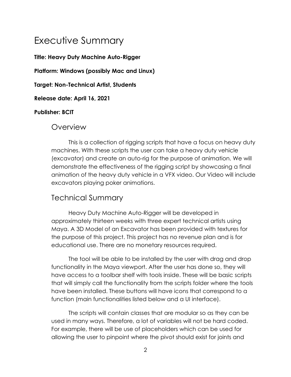# <span id="page-2-0"></span>Executive Summary

**Title: Heavy Duty Machine Auto-Rigger**

**Platform: Windows (possibly Mac and Linux)**

**Target: Non-Technical Artist, Students**

**Release date: April 16, 2021**

#### <span id="page-2-1"></span>**Publisher: BCIT**

#### Overview

This is a collection of rigging scripts that have a focus on heavy duty machines. With these scripts the user can take a heavy duty vehicle (excavator) and create an auto-rig for the purpose of animation. We will demonstrate the effectiveness of the rigging script by showcasing a final animation of the heavy duty vehicle in a VFX video. Our Video will include excavators playing poker animations.

### <span id="page-2-2"></span>Technical Summary

Heavy Duty Machine Auto-Rigger will be developed in approximately thirteen weeks with three expert technical artists using Maya. A 3D Model of an Excavator has been provided with textures for the purpose of this project. This project has no revenue plan and is for educational use. There are no monetary resources required.

The tool will be able to be installed by the user with drag and drop functionality in the Maya viewport. After the user has done so, they will have access to a toolbar shelf with tools inside. These will be basic scripts that will simply call the functionality from the scripts folder where the tools have been installed. These buttons will have icons that correspond to a function (main functionalities listed below and a UI interface).

The scripts will contain classes that are modular so as they can be used in many ways. Therefore, a lot of variables will not be hard coded. For example, there will be use of placeholders which can be used for allowing the user to pinpoint where the pivot should exist for joints and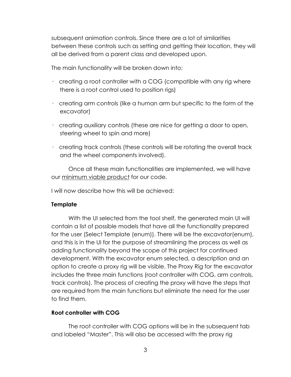subsequent animation controls. Since there are a lot of similarities between these controls such as setting and getting their location, they will all be derived from a parent class and developed upon.

The main functionality will be broken down into:

- · creating a root controller with a COG (compatible with any rig where there is a root control used to position rigs)
- $\cdot$  creating arm controls (like a human arm but specific to the form of the excavator)
- $\cdot$  creating auxiliary controls (these are nice for getting a door to open, steering wheel to spin and more)
- $\cdot$  creating track controls (these controls will be rotating the overall track and the wheel components involved).

Once all these main functionalities are implemented, we will have our minimum viable product for our code.

I will now describe how this will be achieved:

#### **Template**

With the UI selected from the tool shelf, the generated main UI will contain a list of possible models that have all the functionality prepared for the user (Select Template (enum)). There will be the excavator(enum), and this is in the UI for the purpose of streamlining the process as well as adding functionality beyond the scope of this project for continued development. With the excavator enum selected, a description and an option to create a proxy rig will be visible. The Proxy Rig for the excavator includes the three main functions (root controller with COG, arm controls, track controls). The process of creating the proxy will have the steps that are required from the main functions but eliminate the need for the user to find them.

#### **Root controller with COG**

The root controller with COG options will be in the subsequent tab and labeled "Master". This will also be accessed with the proxy rig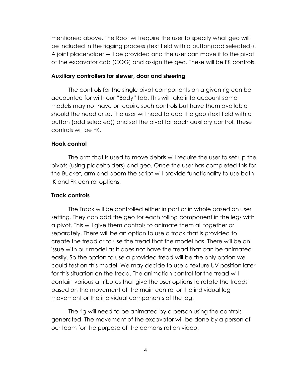mentioned above. The Root will require the user to specify what geo will be included in the rigging process (text field with a button(add selected)). A joint placeholder will be provided and the user can move it to the pivot of the excavator cab (COG) and assign the geo. These will be FK controls.

#### **Auxiliary controllers for slewer, door and steering**

The controls for the single pivot components on a given rig can be accounted for with our "Body" tab. This will take into account some models may not have or require such controls but have them available should the need arise. The user will need to add the geo (text field with a button (add selected)) and set the pivot for each auxiliary control. These controls will be FK.

#### **Hook control**

The arm that is used to move debris will require the user to set up the pivots (using placeholders) and geo. Once the user has completed this for the Bucket, arm and boom the script will provide functionality to use both IK and FK control options.

#### **Track controls**

The Track will be controlled either in part or in whole based on user setting. They can add the geo for each rolling component in the legs with a pivot. This will give them controls to animate them all together or separately. There will be an option to use a track that is provided to create the tread or to use the tread that the model has. There will be an issue with our model as it does not have the tread that can be animated easily. So the option to use a provided tread will be the only option we could test on this model. We may decide to use a texture UV position later for this situation on the tread. The animation control for the tread will contain various attributes that give the user options to rotate the treads based on the movement of the main control or the individual leg movement or the individual components of the leg.

The rig will need to be animated by a person using the controls generated. The movement of the excavator will be done by a person of our team for the purpose of the demonstration video.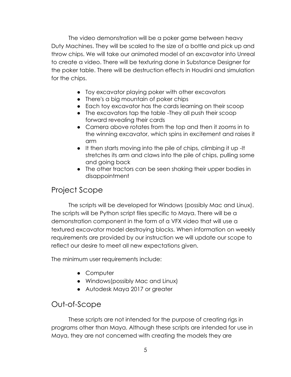The video demonstration will be a poker game between heavy Duty Machines. They will be scaled to the size of a bottle and pick up and throw chips. We will take our animated model of an excavator into Unreal to create a video. There will be texturing done in Substance Designer for the poker table. There will be destruction effects in Houdini and simulation for the chips.

- Toy excavator playing poker with other excavators
- There's a big mountain of poker chips
- Each toy excavator has the cards learning on their scoop
- The excavators tap the table -They all push their scoop forward revealing their cards
- Camera above rotates from the top and then it zooms in to the winning excavator, which spins in excitement and raises it arm
- It then starts moving into the pile of chips, climbing it up -It stretches its arm and claws into the pile of chips, pulling some and going back
- The other tractors can be seen shaking their upper bodies in disappointment

### <span id="page-5-0"></span>Project Scope

The scripts will be developed for Windows (possibly Mac and Linux). The scripts will be Python script files specific to Maya. There will be a demonstration component in the form of a VFX video that will use a textured excavator model destroying blocks. When information on weekly requirements are provided by our instruction we will update our scope to reflect our desire to meet all new expectations given.

The minimum user requirements include:

- Computer
- Windows(possibly Mac and Linux)
- Autodesk Maya 2017 or greater

### <span id="page-5-1"></span>Out-of-Scope

These scripts are not intended for the purpose of creating rigs in programs other than Maya. Although these scripts are intended for use in Maya, they are not concerned with creating the models they are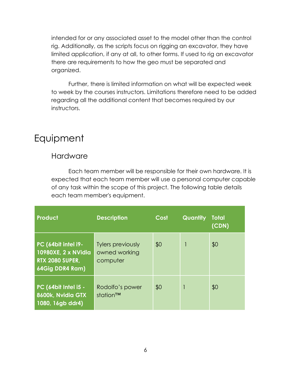intended for or any associated asset to the model other than the control rig. Additionally, as the scripts focus on rigging an excavator, they have limited application, if any at all, to other forms. If used to rig an excavator there are requirements to how the geo must be separated and organized.

Further, there is limited information on what will be expected week to week by the courses instructors. Limitations therefore need to be added regarding all the additional content that becomes required by our instructors.

# <span id="page-6-1"></span><span id="page-6-0"></span>Equipment

### Hardware

Each team member will be responsible for their own hardware. It is expected that each team member will use a personal computer capable of any task within the scope of this project. The following table details each team member's equipment.

| <b>Product</b>                                                                          | <b>Description</b>                                    | Cost | <b>Quantity</b> | <b>Total</b><br>(CDN) |
|-----------------------------------------------------------------------------------------|-------------------------------------------------------|------|-----------------|-----------------------|
| PC (64bit intel i9-<br>10980XE, 2 x NVidia<br><b>RTX 2080 SUPER,</b><br>64Gig DDR4 Ram) | <b>Tylers previously</b><br>owned working<br>computer | \$0  |                 | \$0                   |
| <b>PC (64bit Intel i5 -</b><br>8600k, Nvidia GTX<br>1080, 16gb ddr4)                    | Rodolfo's power<br>station™                           | \$0  | 1               | \$0                   |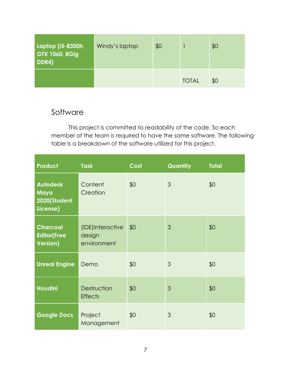| Laptop (i5-8300h,<br><b>GTX 1060, 8Gig</b><br>DDR4) | Windy's laptop | \$0 |              | \$0 |
|-----------------------------------------------------|----------------|-----|--------------|-----|
|                                                     |                |     | <b>TOTAL</b> | \$0 |

### <span id="page-7-0"></span>Software

This project is committed to readability of the code. So each member of the team is required to have the same software. The following table is a breakdown of the software utilized for this project.

| Product                                                   | <b>Task</b>                                | Cost | Quantity | <b>Total</b> |
|-----------------------------------------------------------|--------------------------------------------|------|----------|--------------|
| <b>Autodesk</b><br>Maya<br>2020(Student<br>License)       | Content<br>Creation                        | \$0  | 3        | \$0          |
| <b>Charcoal</b><br><b>Editor</b> (Free<br><b>Version)</b> | (IDE) Interactive<br>design<br>environment | \$0  | 3        | \$0          |
| <b>Unreal Engine</b>                                      | Demo                                       | \$0  | 3        | \$0          |
| <b>Houdini</b>                                            | Destruction<br><b>Effects</b>              | \$0  | 3        | \$0          |
| <b>Google Docs</b>                                        | Project<br>Management                      | \$0  | 3        | \$0          |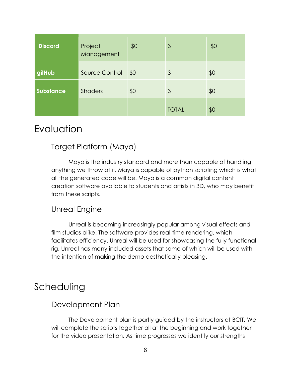| <b>Discord</b>   | Project<br>Management | \$0 | 3            | \$0 |
|------------------|-----------------------|-----|--------------|-----|
| gitHub           | <b>Source Control</b> | \$0 | 3            | \$0 |
| <b>Substance</b> | <b>Shaders</b>        | \$0 | 3            | \$0 |
|                  |                       |     | <b>TOTAL</b> | \$0 |

## <span id="page-8-1"></span><span id="page-8-0"></span>Evaluation

### Target Platform (Maya)

Maya is the industry standard and more than capable of handling anything we throw at it. Maya is capable of python scripting which is what all the generated code will be. Maya is a common digital content creation software available to students and artists in 3D, who may benefit from these scripts.

### <span id="page-8-2"></span>Unreal Engine

Unreal is becoming increasingly popular among visual effects and film studios alike. The software provides real-time rendering, which facilitates efficiency. Unreal will be used for showcasing the fully functional rig. Unreal has many included assets that some of which will be used with the intention of making the demo aesthetically pleasing.

## <span id="page-8-4"></span><span id="page-8-3"></span>Scheduling

### Development Plan

The Development plan is partly guided by the instructors at BCIT. We will complete the scripts together all at the beginning and work together for the video presentation. As time progresses we identify our strengths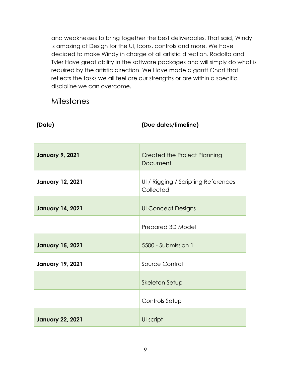and weaknesses to bring together the best deliverables. That said, Windy is amazing at Design for the UI, Icons, controls and more. We have decided to make Windy in charge of all artistic direction. Rodolfo and Tyler Have great ability in the software packages and will simply do what is required by the artistic direction. We Have made a gantt Chart that reflects the tasks we all feel are our strengths or are within a specific discipline we can overcome.

<span id="page-9-0"></span>Milestones

| <b>January 9, 2021</b>  | <b>Created the Project Planning</b><br>Document  |
|-------------------------|--------------------------------------------------|
| <b>January 12, 2021</b> | UI / Rigging / Scripting References<br>Collected |
| <b>January 14, 2021</b> | <b>UI Concept Designs</b>                        |
|                         | Prepared 3D Model                                |
| <b>January 15, 2021</b> | 5500 - Submission 1                              |
| <b>January 19, 2021</b> | Source Control                                   |
|                         | Skeleton Setup                                   |
|                         | Controls Setup                                   |
| <b>January 22, 2021</b> | UI script                                        |

**(Date) (Due dates/timeline)**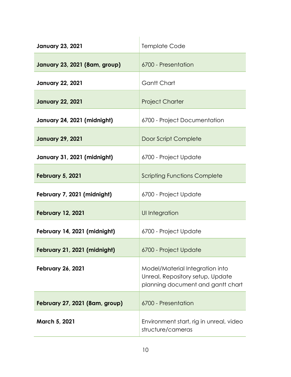| <b>January 23, 2021</b>        | <b>Template Code</b>                                                                                     |
|--------------------------------|----------------------------------------------------------------------------------------------------------|
| January 23, 2021 (8am, group)  | 6700 - Presentation                                                                                      |
| <b>January 22, 2021</b>        | Gantt Chart                                                                                              |
| <b>January 22, 2021</b>        | <b>Project Charter</b>                                                                                   |
| January 24, 2021 (midnight)    | 6700 - Project Documentation                                                                             |
| <b>January 29, 2021</b>        | Door Script Complete                                                                                     |
| January 31, 2021 (midnight)    | 6700 - Project Update                                                                                    |
| <b>February 5, 2021</b>        | <b>Scripting Functions Complete</b>                                                                      |
| February 7, 2021 (midnight)    | 6700 - Project Update                                                                                    |
| <b>February 12, 2021</b>       | UI Integration                                                                                           |
| February 14, 2021 (midnight)   | 6700 - Project Update                                                                                    |
| February 21, 2021 (midnight)   | 6700 - Project Update                                                                                    |
| <b>February 26, 2021</b>       | Model/Material Integration into<br>Unreal, Repository setup, Update<br>planning document and gantt chart |
| February 27, 2021 (8am, group) | 6700 - Presentation                                                                                      |
| <b>March 5, 2021</b>           | Environment start, rig in unreal, video<br>structure/cameras                                             |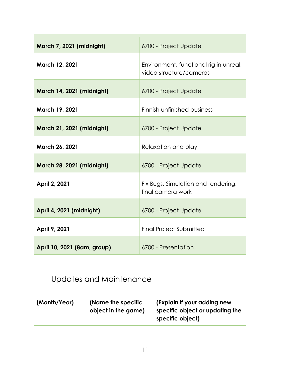| March 7, 2021 (midnight)         | 6700 - Project Update                                             |
|----------------------------------|-------------------------------------------------------------------|
| March 12, 2021                   | Environment, functional rig in unreal,<br>video structure/cameras |
| <b>March 14, 2021 (midnight)</b> | 6700 - Project Update                                             |
| March 19, 2021                   | Finnish unfinished business                                       |
| <b>March 21, 2021 (midnight)</b> | 6700 - Project Update                                             |
| <b>March 26, 2021</b>            | Relaxation and play                                               |
| <b>March 28, 2021 (midnight)</b> | 6700 - Project Update                                             |
| April 2, 2021                    | Fix Bugs, Simulation and rendering,<br>final camera work          |
| April 4, 2021 (midnight)         | 6700 - Project Update                                             |
| April 9, 2021                    | <b>Final Project Submitted</b>                                    |
| April 10, 2021 (8am, group)      | 6700 - Presentation                                               |

## <span id="page-11-0"></span>Updates and Maintenance

| (Month/Year)        | (Explain if your adding new     |
|---------------------|---------------------------------|
| (Name the specific) | specific object or updating the |
| object in the game) | specific object)                |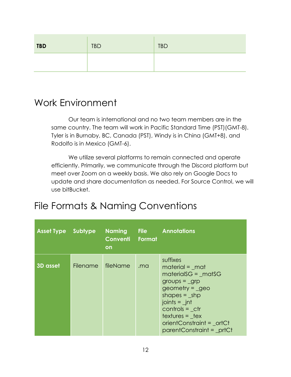| <b>TBD</b> | <b>TBD</b> | <b>TBD</b> |
|------------|------------|------------|
|            |            |            |

## <span id="page-12-0"></span>Work Environment

Our team is international and no two team members are in the same country. The team will work in Pacific Standard Time (PST)(GMT-8). Tyler is in Burnaby, BC, Canada (PST), Windy is in China (GMT+8), and Rodolfo is in Mexico (GMT-6).

We utilize several platforms to remain connected and operate efficiently. Primarily, we communicate through the Discord platform but meet over Zoom on a weekly basis. We also rely on Google Docs to update and share documentation as needed. For Source Control, we will use bitBucket.

## <span id="page-12-1"></span>File Formats & Naming Conventions

| <b>Asset Type Subtype</b> |                 | <b>Naming</b><br>Conventi<br><b>on</b> | Format | <b>File</b> Annotations                                                                                                                                                                                                                                  |
|---------------------------|-----------------|----------------------------------------|--------|----------------------------------------------------------------------------------------------------------------------------------------------------------------------------------------------------------------------------------------------------------|
| 3D asset                  | <b>Filename</b> | fileName                               | .ma    | suffixes<br>$material = \_mat$<br>$materialsG = matSG$<br>$groups = grp$<br>$geometry = qeo$<br>shapes = $shp$<br>joints $=$ $\frac{1}{2}$ jnt<br>$controls = ctr$<br>$text{text} = \text{text}$<br>orientConstraint = ortCt<br>parentConstraint = prtCt |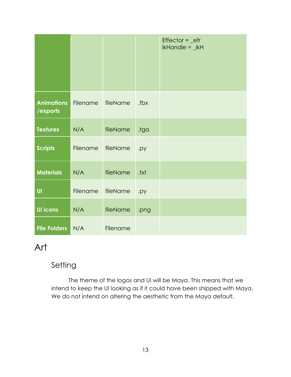|                               |          |          |         | $Effector = _eff$<br>$ik$ Handle = $_{ik}$ H |
|-------------------------------|----------|----------|---------|----------------------------------------------|
| <b>Animations</b><br>/exports | Filename | fileName | .fbx    |                                              |
| <b>Textures</b>               | N/A      | fileName | .tga    |                                              |
| <b>Scripts</b>                | Filename | fileName | .py     |                                              |
| <b>Materials</b>              | N/A      | fileName | $txt$ . |                                              |
| U                             | Filename | fileName | .py     |                                              |
| <b>UI icons</b>               | N/A      | fileName | .png    |                                              |
| <b>File Folders</b>           | N/A      | Filename |         |                                              |

## <span id="page-13-0"></span>Art

### <span id="page-13-1"></span>Setting

The theme of the logos and UI will be Maya. This means that we intend to keep the UI looking as if it could have been shipped with Maya. We do not intend on altering the aesthetic from the Maya default.